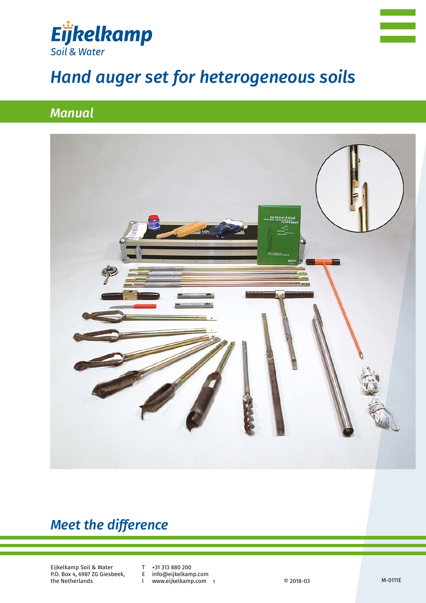



# *Hand auger set for heterogeneous soils*

# *Manual*



# *Meet the difference*

Eijkelkamp Soil & Water P.O. Box 4, 6987 ZG Giesbeek, the Netherlands

T +31 313 880 200<br>E info@eijkelkam

E info@eijkelkamp.com

www.eijkelkamp.com 1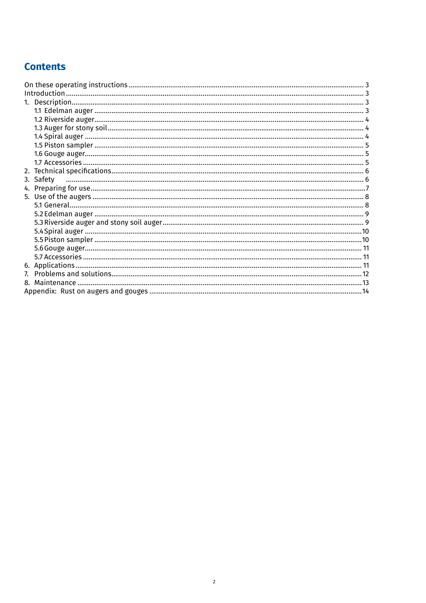# **Contents**

| 3. Safety |  |
|-----------|--|
|           |  |
|           |  |
|           |  |
|           |  |
|           |  |
|           |  |
|           |  |
|           |  |
|           |  |
|           |  |
|           |  |
|           |  |
|           |  |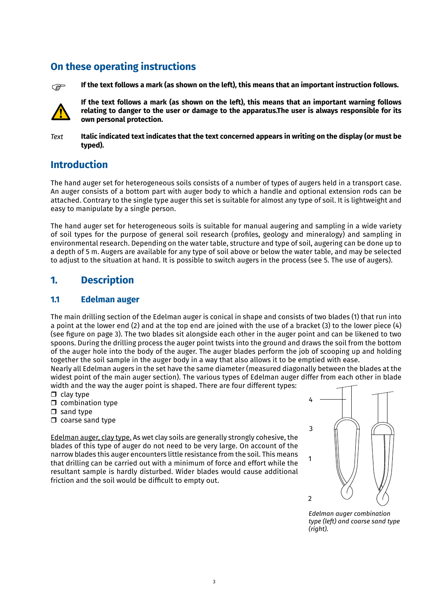# **On these operating instructions**



**If the text follows a mark (as shown on the left), this means that an important instruction follows.**



**If the text follows a mark (as shown on the left), this means that an important warning follows relating to danger to the user or damage to the apparatus.The user is always responsible for its own personal protection.**

*Text*

**Italic indicated text indicates that the text concerned appears in writing on the display (or must be typed).**

# **Introduction**

The hand auger set for heterogeneous soils consists of a number of types of augers held in a transport case. An auger consists of a bottom part with auger body to which a handle and optional extension rods can be attached. Contrary to the single type auger this set is suitable for almost any type of soil. It is lightweight and easy to manipulate by a single person.

The hand auger set for heterogeneous soils is suitable for manual augering and sampling in a wide variety of soil types for the purpose of general soil research (profiles, geology and mineralogy) and sampling in environmental research. Depending on the water table, structure and type of soil, augering can be done up to a depth of 5 m. Augers are available for any type of soil above or below the water table, and may be selected to adjust to the situation at hand. It is possible to switch augers in the process (see 5. The use of augers).

# **1. Description**

### **1.1 Edelman auger**

The main drilling section of the Edelman auger is conical in shape and consists of two blades (1) that run into a point at the lower end (2) and at the top end are joined with the use of a bracket (3) to the lower piece (4) (see figure on page 3). The two blades sit alongside each other in the auger point and can be likened to two spoons. During the drilling process the auger point twists into the ground and draws the soil from the bottom of the auger hole into the body of the auger. The auger blades perform the job of scooping up and holding together the soil sample in the auger body in a way that also allows it to be emptied with ease.

Nearly all Edelman augers in the set have the same diameter (measured diagonally between the blades at the widest point of the main auger section). The various types of Edelman auger differ from each other in blade width and the way the auger point is shaped. There are four different types:

- $\Box$  clay type
- $\Box$  combination type
- $\Box$  sand type
- $\Box$  coarse sand type

Edelman auger, clay type. As wet clay soils are generally strongly cohesive, the blades of this type of auger do not need to be very large. On account of the narrow blades this auger encounters little resistance from the soil. This means that drilling can be carried out with a minimum of force and effort while the resultant sample is hardly disturbed. Wider blades would cause additional friction and the soil would be difficult to empty out.



*Edelman auger combination type (left) and coarse sand type (right).*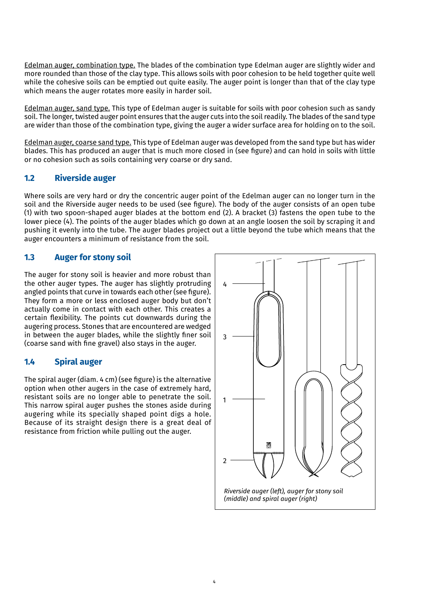Edelman auger, combination type. The blades of the combination type Edelman auger are slightly wider and more rounded than those of the clay type. This allows soils with poor cohesion to be held together quite well while the cohesive soils can be emptied out quite easily. The auger point is longer than that of the clay type which means the auger rotates more easily in harder soil.

Edelman auger, sand type. This type of Edelman auger is suitable for soils with poor cohesion such as sandy soil. The longer, twisted auger point ensures that the auger cuts into the soil readily. The blades of the sand type are wider than those of the combination type, giving the auger a wider surface area for holding on to the soil.

Edelman auger, coarse sand type. This type of Edelman auger was developed from the sand type but has wider blades. This has produced an auger that is much more closed in (see figure) and can hold in soils with little or no cohesion such as soils containing very coarse or dry sand.

#### **1.2 Riverside auger**

Where soils are very hard or dry the concentric auger point of the Edelman auger can no longer turn in the soil and the Riverside auger needs to be used (see figure). The body of the auger consists of an open tube (1) with two spoon-shaped auger blades at the bottom end (2). A bracket (3) fastens the open tube to the lower piece (4). The points of the auger blades which go down at an angle loosen the soil by scraping it and pushing it evenly into the tube. The auger blades project out a little beyond the tube which means that the auger encounters a minimum of resistance from the soil.

#### **1.3 Auger for stony soil**

The auger for stony soil is heavier and more robust than the other auger types. The auger has slightly protruding angled points that curve in towards each other(see figure). They form a more or less enclosed auger body but don't actually come in contact with each other. This creates a certain flexibility. The points cut downwards during the augering process. Stones that are encountered are wedged in between the auger blades, while the slightly finer soil (coarse sand with fine gravel) also stays in the auger.

#### **1.4 Spiral auger**

The spiral auger (diam. 4 cm) (see figure) is the alternative option when other augers in the case of extremely hard, resistant soils are no longer able to penetrate the soil. This narrow spiral auger pushes the stones aside during augering while its specially shaped point digs a hole. Because of its straight design there is a great deal of resistance from friction while pulling out the auger.

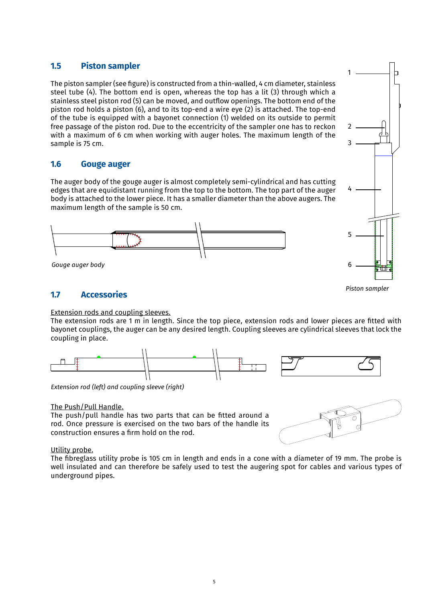#### **1.5 Piston sampler**

The piston sampler(see figure) is constructed from a thin-walled, 4 cm diameter, stainless steel tube (4). The bottom end is open, whereas the top has a lit (3) through which a stainless steel piston rod (5) can be moved, and outflow openings. The bottom end of the piston rod holds a piston (6), and to its top-end a wire eye (2) is attached. The top-end of the tube is equipped with a bayonet connection (1) welded on its outside to permit free passage of the piston rod. Due to the eccentricity of the sampler one has to reckon with a maximum of 6 cm when working with auger holes. The maximum length of the sample is 75 cm.

#### **1.6 Gouge auger**

The auger body of the gouge auger is almost completely semi-cylindrical and has cutting edges that are equidistant running from the top to the bottom. The top part of the auger body is attached to the lower piece. It has a smaller diameter than the above augers. The maximum length of the sample is 50 cm.





#### *Piston sampler*

### **1.7 Accessories**

#### Extension rods and coupling sleeves.

The extension rods are 1 m in length. Since the top piece, extension rods and lower pieces are fitted with bayonet couplings, the auger can be any desired length. Coupling sleeves are cylindrical sleeves that lock the coupling in place.



*Extension rod (left) and coupling sleeve (right)*

#### The Push/Pull Handle.

The push/pull handle has two parts that can be fitted around a rod. Once pressure is exercised on the two bars of the handle its construction ensures a firm hold on the rod.



#### Utility probe.

The fibreglass utility probe is 105 cm in length and ends in a cone with a diameter of 19 mm. The probe is well insulated and can therefore be safely used to test the augering spot for cables and various types of underground pipes.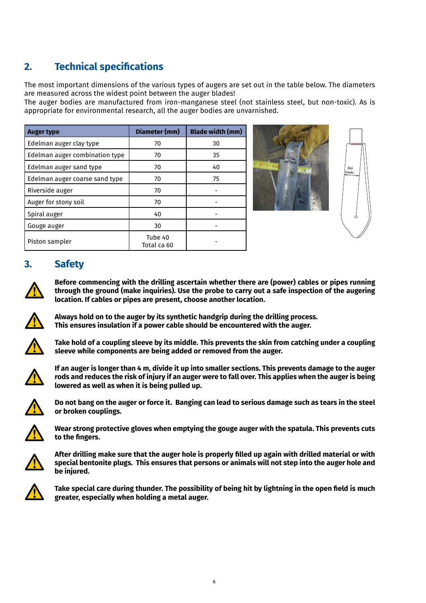# **2. Technical specifications**

The most important dimensions of the various types of augers are set out in the table below. The diameters are measured across the widest point between the auger blades!

The auger bodies are manufactured from iron-manganese steel (not stainless steel, but non-toxic). As is appropriate for environmental research, all the auger bodies are unvarnished.

| <b>Auger type</b>              | Diameter (mm)          | <b>Blade width (mm)</b> |
|--------------------------------|------------------------|-------------------------|
| Edelman auger clay type        | 70                     | 30                      |
| Edelman auger combination type | 70                     | 35                      |
| Edelman auger sand type        | 70                     | 40                      |
| Edelman auger coarse sand type | 70                     | 75                      |
| Riverside auger                | 70                     |                         |
| Auger for stony soil           | 70                     |                         |
| Spiral auger                   | 40                     |                         |
| Gouge auger                    | 30                     |                         |
| Piston sampler                 | Tube 40<br>Total ca 60 |                         |





## **3. Safety**



**Before commencing with the drilling ascertain whether there are (power) cables or pipes running through the ground (make inquiries). Use the probe to carry out a safe inspection of the augering location. If cables or pipes are present, choose another location.**



**Always hold on to the auger by its synthetic handgrip during the drilling process. This ensures insulation if a power cable should be encountered with the auger.**



**Take hold of a coupling sleeve by its middle. This prevents the skin from catching under a coupling sleeve while components are being added or removed from the auger.**



**If an auger is longer than 4 m, divide it up into smaller sections. This prevents damage to the auger rods and reduces the risk of injury if an auger were to fall over. This applies when the auger is being lowered as well as when it is being pulled up.**



**Do not bang on the auger or force it. Banging can lead to serious damage such as tears in the steel or broken couplings.**



**Wear strong protective gloves when emptying the gouge auger with the spatula. This prevents cuts to the fingers.**



After drilling make sure that the auger hole is properly filled up again with drilled material or with **special bentonite plugs. This ensures that persons or animals will not step into the auger hole and be injured.** 



Take special care during thunder. The possibility of being hit by lightning in the open field is much **greater, especially when holding a metal auger.**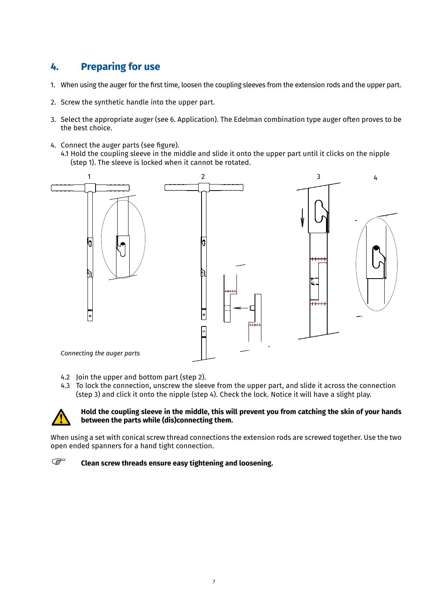# **4. Preparing for use**

- 1. When using the auger for the first time, loosen the coupling sleeves from the extension rods and the upper part.
- 2. Screw the synthetic handle into the upper part.
- 3. Select the appropriate auger (see 6. Application). The Edelman combination type auger often proves to be the best choice.
- 4. Connect the auger parts (see figure). 4.1 Hold the coupling sleeve in the middle and slide it onto the upper part until it clicks on the nipple (step 1). The sleeve is locked when it cannot be rotated.



- 4.2 Join the upper and bottom part (step 2).
- 4.3 To lock the connection, unscrew the sleeve from the upper part, and slide it across the connection (step 3) and click it onto the nipple (step 4). Check the lock. Notice it will have a slight play.



#### **Hold the coupling sleeve in the middle, this will prevent you from catching the skin of your hands between the parts while (dis)connecting them.**

When using a set with conical screw thread connections the extension rods are screwed together. Use the two open ended spanners for a hand tight connection.

#### **Clean screw threads ensure easy tightening and loosening. PED**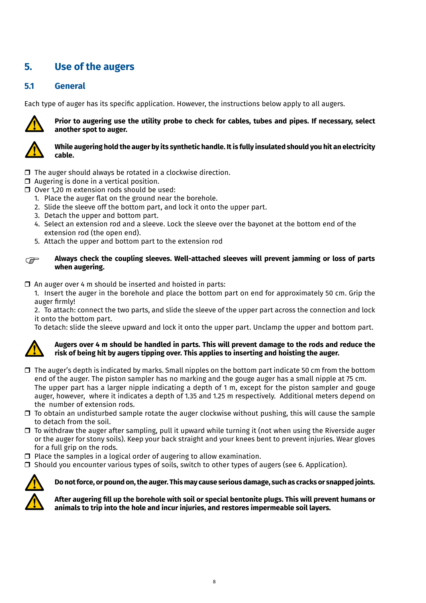# **5. Use of the augers**

### **5.1 General**

Each type of auger has its specific application. However, the instructions below apply to all augers.



**Prior to augering use the utility probe to check for cables, tubes and pipes. If necessary, select another spot to auger.**



#### **While augering hold the auger by its synthetic handle. It is fully insulated should you hit an electricity cable.**

- $\Box$  The auger should always be rotated in a clockwise direction.
- $\Box$  Augering is done in a vertical position.
- $\Box$  Over 1,20 m extension rods should be used:
	- 1. Place the auger flat on the ground near the borehole.
	- 2. Slide the sleeve off the bottom part, and lock it onto the upper part.
	- 3. Detach the upper and bottom part.
	- 4. Select an extension rod and a sleeve. Lock the sleeve over the bayonet at the bottom end of the extension rod (the open end).
	- 5. Attach the upper and bottom part to the extension rod

```
PER
```
#### **Always check the coupling sleeves. Well-attached sleeves will prevent jamming or loss of parts when augering.**

 $\Box$  An auger over 4 m should be inserted and hoisted in parts:

1. Insert the auger in the borehole and place the bottom part on end for approximately 50 cm. Grip the auger firmly!

2. To attach: connect the two parts, and slide the sleeve of the upper part across the connection and lock it onto the bottom part.

To detach: slide the sleeve upward and lock it onto the upper part. Unclamp the upper and bottom part.



#### **Augers over 4 m should be handled in parts. This will prevent damage to the rods and reduce the risk of being hit by augers tipping over. This applies to inserting and hoisting the auger.**

- $\Box$  The auger's depth is indicated by marks. Small nipples on the bottom part indicate 50 cm from the bottom end of the auger. The piston sampler has no marking and the gouge auger has a small nipple at 75 cm. The upper part has a larger nipple indicating a depth of 1 m, except for the piston sampler and gouge auger, however, where it indicates a depth of 1.35 and 1.25 m respectively. Additional meters depend on the number of extension rods.
- $\Box$  To obtain an undisturbed sample rotate the auger clockwise without pushing, this will cause the sample to detach from the soil.
- $\Box$  To withdraw the auger after sampling, pull it upward while turning it (not when using the Riverside auger or the auger for stony soils). Keep your back straight and your knees bent to prevent injuries. Wear gloves for a full grip on the rods.
- $\Box$  Place the samples in a logical order of augering to allow examination.
- $\Box$  Should you encounter various types of soils, switch to other types of augers (see 6. Application).



**Do not force, or pound on, the auger. This may cause serious damage, such as cracks or snapped joints.**

**After augering fill up the borehole with soil or special bentonite plugs. This will prevent humans or animals to trip into the hole and incur injuries, and restores impermeable soil layers.**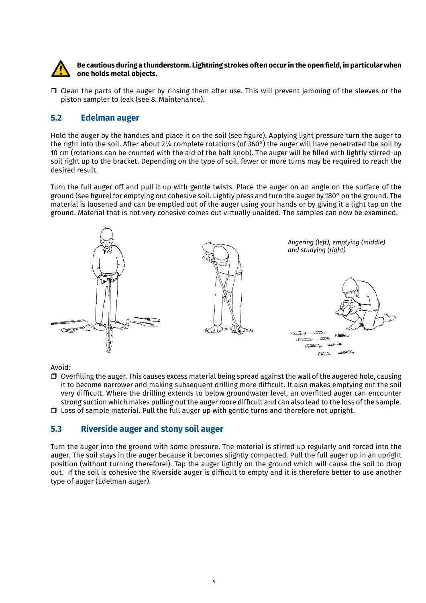

#### **Be cautious during a thunderstorm. Lightning strokes often occurin the open field, in particular when one holds metal objects.**

 $\Box$  Clean the parts of the auger by rinsing them after use. This will prevent jamming of the sleeves or the piston sampler to leak (see 8. Maintenance).

#### **5.2 Edelman auger**

Hold the auger by the handles and place it on the soil (see figure). Applying light pressure turn the auger to the right into the soil. After about 2¼ complete rotations (of 360°) the auger will have penetrated the soil by 10 cm (rotations can be counted with the aid of the halt knob). The auger will be filled with lightly stirred-up soil right up to the bracket. Depending on the type of soil, fewer or more turns may be required to reach the desired result.

Turn the full auger off and pull it up with gentle twists. Place the auger on an angle on the surface of the ground (see figure) for emptying out cohesive soil. Lightly press and turn the auger by 180° on the ground. The material is loosened and can be emptied out of the auger using your hands or by giving it a light tap on the ground. Material that is not very cohesive comes out virtually unaided. The samples can now be examined.



Avoid:

 $\Box$  Overfilling the auger. This causes excess material being spread against the wall of the augered hole, causing it to become narrower and making subsequent drilling more difficult. It also makes emptying out the soil very difficult. Where the drilling extends to below groundwater level, an overfilled auger can encounter strong suction which makes pulling out the auger more difficult and can also lead to the loss of the sample.  $\Box$  Loss of sample material. Pull the full auger up with gentle turns and therefore not upright.

#### **5.3 Riverside auger and stony soil auger**

Turn the auger into the ground with some pressure. The material is stirred up regularly and forced into the auger. The soil stays in the auger because it becomes slightly compacted. Pull the full auger up in an upright position (without turning therefore!). Tap the auger lightly on the ground which will cause the soil to drop out. If the soil is cohesive the Riverside auger is difficult to empty and it is therefore better to use another type of auger (Edelman auger).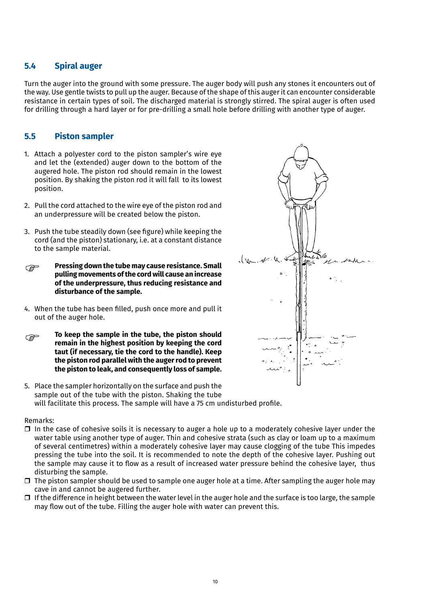#### **5.4 Spiral auger**

Turn the auger into the ground with some pressure. The auger body will push any stones it encounters out of the way. Use gentle twists to pull up the auger. Because of the shape of this auger it can encounter considerable resistance in certain types of soil. The discharged material is strongly stirred. The spiral auger is often used for drilling through a hard layer or for pre-drilling a small hole before drilling with another type of auger.

#### **5.5 Piston sampler**

- 1. Attach a polyester cord to the piston sampler's wire eye and let the (extended) auger down to the bottom of the augered hole. The piston rod should remain in the lowest position. By shaking the piston rod it will fall to its lowest position.
- 2. Pull the cord attached to the wire eye of the piston rod and an underpressure will be created below the piston.
- 3. Push the tube steadily down (see figure) while keeping the cord (and the piston) stationary, i.e. at a constant distance to the sample material.
- **Pressing down the tube may cause resistance. Small pulling movements of the cord will cause an increase of the underpressure, thus reducing resistance and disturbance of the sample. PED**
- 4. When the tube has been filled, push once more and pull it out of the auger hole.
- **To keep the sample in the tube, the piston should remain in the highest position by keeping the cord taut (if necessary, tie the cord to the handle). Keep the piston rod parallel with the auger rod to prevent the piston to leak, and consequently loss of sample. PED**
- 5. Place the sampler horizontally on the surface and push the sample out of the tube with the piston. Shaking the tube will facilitate this process. The sample will have a 75 cm undisturbed profile.

#### Remarks:

- $\Box$  In the case of cohesive soils it is necessary to auger a hole up to a moderately cohesive layer under the water table using another type of auger. Thin and cohesive strata (such as clay or loam up to a maximum of several centimetres) within a moderately cohesive layer may cause clogging of the tube This impedes pressing the tube into the soil. It is recommended to note the depth of the cohesive layer. Pushing out the sample may cause it to flow as a result of increased water pressure behind the cohesive layer, thus disturbing the sample.
- $\Box$  The piston sampler should be used to sample one auger hole at a time. After sampling the auger hole may cave in and cannot be augered further.
- $\Box$  If the difference in height between the water level in the auger hole and the surface is too large, the sample may flow out of the tube. Filling the auger hole with water can prevent this.

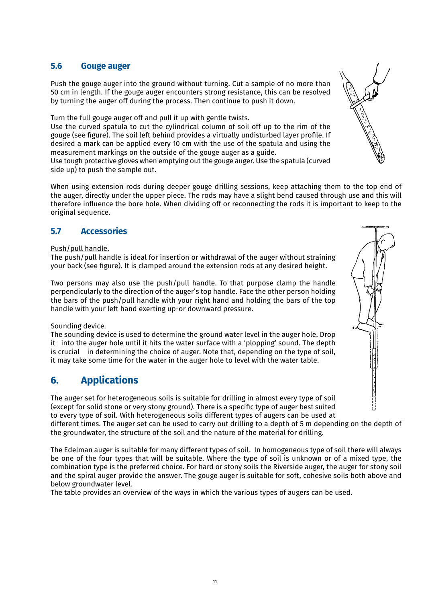#### **5.6 Gouge auger**

Push the gouge auger into the ground without turning. Cut a sample of no more than 50 cm in length. If the gouge auger encounters strong resistance, this can be resolved by turning the auger off during the process. Then continue to push it down.

Turn the full gouge auger off and pull it up with gentle twists.

Use the curved spatula to cut the cylindrical column of soil off up to the rim of the gouge (see figure). The soil left behind provides a virtually undisturbed layer profile. If desired a mark can be applied every 10 cm with the use of the spatula and using the measurement markings on the outside of the gouge auger as a guide.

Use tough protective gloves when emptying out the gouge auger. Use the spatula (curved side up) to push the sample out.

When using extension rods during deeper gouge drilling sessions, keep attaching them to the top end of the auger, directly under the upper piece. The rods may have a slight bend caused through use and this will therefore influence the bore hole. When dividing off or reconnecting the rods it is important to keep to the original sequence.

#### **5.7 Accessories**

#### Push/pull handle.

The push/pull handle is ideal for insertion or withdrawal of the auger without straining your back (see figure). It is clamped around the extension rods at any desired height.

Two persons may also use the push/pull handle. To that purpose clamp the handle perpendicularly to the direction of the auger's top handle. Face the other person holding the bars of the push/pull handle with your right hand and holding the bars of the top handle with your left hand exerting up-or downward pressure.

#### Sounding device.

The sounding device is used to determine the ground water level in the auger hole. Drop it into the auger hole until it hits the water surface with a 'plopping' sound. The depth is crucial in determining the choice of auger. Note that, depending on the type of soil, it may take some time for the water in the auger hole to level with the water table.

# **6. Applications**

The auger set for heterogeneous soils is suitable for drilling in almost every type of soil (except for solid stone or very stony ground). There is a specific type of auger best suited to every type of soil. With heterogeneous soils different types of augers can be used at

different times. The auger set can be used to carry out drilling to a depth of 5 m depending on the depth of the groundwater, the structure of the soil and the nature of the material for drilling.

The Edelman auger is suitable for many different types of soil. In homogeneous type of soil there will always be one of the four types that will be suitable. Where the type of soil is unknown or of a mixed type, the combination type is the preferred choice. For hard or stony soils the Riverside auger, the auger for stony soil and the spiral auger provide the answer. The gouge auger is suitable for soft, cohesive soils both above and below groundwater level.

The table provides an overview of the ways in which the various types of augers can be used.

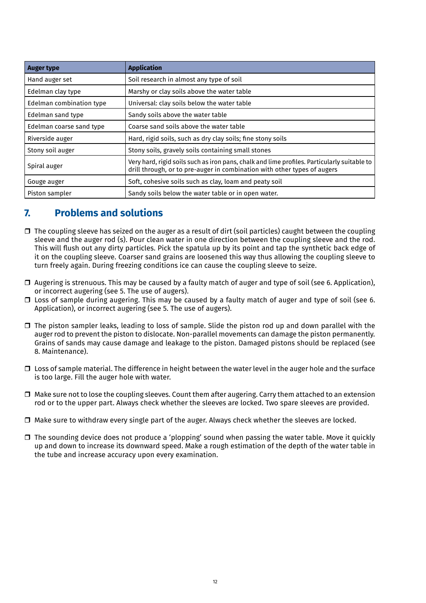| <b>Auger type</b>        | <b>Application</b>                                                                                                                                                      |
|--------------------------|-------------------------------------------------------------------------------------------------------------------------------------------------------------------------|
| Hand auger set           | Soil research in almost any type of soil                                                                                                                                |
| Edelman clay type        | Marshy or clay soils above the water table                                                                                                                              |
| Edelman combination type | Universal: clay soils below the water table                                                                                                                             |
| Edelman sand type        | Sandy soils above the water table                                                                                                                                       |
| Edelman coarse sand type | Coarse sand soils above the water table                                                                                                                                 |
| Riverside auger          | Hard, rigid soils, such as dry clay soils; fine stony soils                                                                                                             |
| Stony soil auger         | Stony soils, gravely soils containing small stones                                                                                                                      |
| Spiral auger             | Very hard, rigid soils such as iron pans, chalk and lime profiles. Particularly suitable to<br>drill through, or to pre-auger in combination with other types of augers |
| Gouge auger              | Soft, cohesive soils such as clay, loam and peaty soil                                                                                                                  |
| Piston sampler           | Sandy soils below the water table or in open water.                                                                                                                     |

# **7. Problems and solutions**

- $\Box$  The coupling sleeve has seized on the auger as a result of dirt (soil particles) caught between the coupling sleeve and the auger rod (s). Pour clean water in one direction between the coupling sleeve and the rod. This will flush out any dirty particles. Pick the spatula up by its point and tap the synthetic back edge of it on the coupling sleeve. Coarser sand grains are loosened this way thus allowing the coupling sleeve to turn freely again. During freezing conditions ice can cause the coupling sleeve to seize.
- $\Box$  Augering is strenuous. This may be caused by a faulty match of auger and type of soil (see 6. Application), or incorrect augering (see 5. The use of augers).
- $\Box$  Loss of sample during augering. This may be caused by a faulty match of auger and type of soil (see 6. Application), or incorrect augering (see 5. The use of augers).
- $\Box$  The piston sampler leaks, leading to loss of sample. Slide the piston rod up and down parallel with the auger rod to prevent the piston to dislocate. Non-parallel movements can damage the piston permanently. Grains of sands may cause damage and leakage to the piston. Damaged pistons should be replaced (see 8. Maintenance).
- $\square$  Loss of sample material. The difference in height between the water level in the auger hole and the surface is too large. Fill the auger hole with water.
- $\Box$  Make sure not to lose the coupling sleeves. Count them after augering. Carry them attached to an extension rod or to the upper part. Always check whether the sleeves are locked. Two spare sleeves are provided.
- $\Box$  Make sure to withdraw every single part of the auger. Always check whether the sleeves are locked.
- $\Box$  The sounding device does not produce a 'plopping' sound when passing the water table. Move it quickly up and down to increase its downward speed. Make a rough estimation of the depth of the water table in the tube and increase accuracy upon every examination.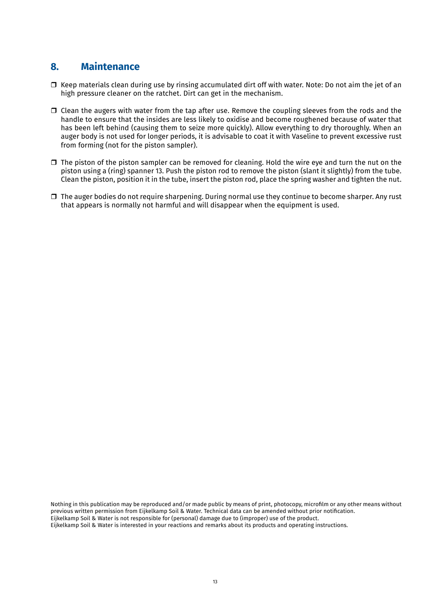### **8. Maintenance**

- $\Box$  Keep materials clean during use by rinsing accumulated dirt off with water. Note: Do not aim the jet of an high pressure cleaner on the ratchet. Dirt can get in the mechanism.
- $\Box$  Clean the augers with water from the tap after use. Remove the coupling sleeves from the rods and the handle to ensure that the insides are less likely to oxidise and become roughened because of water that has been left behind (causing them to seize more quickly). Allow everything to dry thoroughly. When an auger body is not used for longer periods, it is advisable to coat it with Vaseline to prevent excessive rust from forming (not for the piston sampler).
- $\Box$  The piston of the piston sampler can be removed for cleaning. Hold the wire eye and turn the nut on the piston using a (ring) spanner 13. Push the piston rod to remove the piston (slant it slightly) from the tube. Clean the piston, position it in the tube, insert the piston rod, place the spring washer and tighten the nut.
- $\Box$  The auger bodies do not require sharpening. During normal use they continue to become sharper. Any rust that appears is normally not harmful and will disappear when the equipment is used.

Nothing in this publication may be reproduced and/or made public by means of print, photocopy, microfilm or any other means without previous written permission from Eijkelkamp Soil & Water. Technical data can be amended without prior notification. Eijkelkamp Soil & Water is not responsible for (personal) damage due to (improper) use of the product. Eijkelkamp Soil & Water is interested in your reactions and remarks about its products and operating instructions.